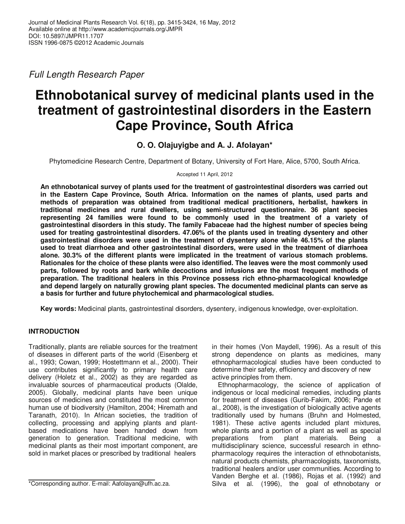Full Length Research Paper

# **Ethnobotanical survey of medicinal plants used in the treatment of gastrointestinal disorders in the Eastern Cape Province, South Africa**

# **O. O. Olajuyigbe and A. J. Afolayan\***

Phytomedicine Research Centre, Department of Botany, University of Fort Hare, Alice, 5700, South Africa.

Accepted 11 April, 2012

**An ethnobotanical survey of plants used for the treatment of gastrointestinal disorders was carried out in the Eastern Cape Province, South Africa. Information on the names of plants, used parts and methods of preparation was obtained from traditional medical practitioners, herbalist, hawkers in traditional medicines and rural dwellers, using semi-structured questionnaire. 36 plant species representing 24 families were found to be commonly used in the treatment of a variety of gastrointestinal disorders in this study. The family Fabaceae had the highest number of species being used for treating gastrointestinal disorders. 47.06% of the plants used in treating dysentery and other gastrointestinal disorders were used in the treatment of dysentery alone while 46.15% of the plants used to treat diarrhoea and other gastrointestinal disorders, were used in the treatment of diarrhoea alone. 30.3% of the different plants were implicated in the treatment of various stomach problems. Rationales for the choice of these plants were also identified. The leaves were the most commonly used parts, followed by roots and bark while decoctions and infusions are the most frequent methods of preparation. The traditional healers in this Province possess rich ethno-pharmacological knowledge and depend largely on naturally growing plant species. The documented medicinal plants can serve as a basis for further and future phytochemical and pharmacological studies.** 

**Key words:** Medicinal plants, gastrointestinal disorders, dysentery, indigenous knowledge, over-exploitation.

## **INTRODUCTION**

Traditionally, plants are reliable sources for the treatment of diseases in different parts of the world (Eisenberg et al., 1993; Cowan, 1999; Hostettmann et al., 2000). Their use contributes significantly to primary health care delivery (Holetz et al., 2002) as they are regarded as invaluable sources of pharmaceutical products (Olalde, 2005). Globally, medicinal plants have been unique sources of medicines and constituted the most common human use of biodiversity (Hamilton, 2004; Hiremath and Taranath, 2010). In African societies, the tradition of collecting, processing and applying plants and plantbased medications have been handed down from generation to generation. Traditional medicine, with medicinal plants as their most important component, are sold in market places or prescribed by traditional healers

in their homes (Von Maydell, 1996). As a result of this strong dependence on plants as medicines, many ethnopharmacological studies have been conducted to determine their safety, efficiency and discovery of new active principles from them.

Ethnopharmacology, the science of application of indigenous or local medicinal remedies, including plants for treatment of diseases (Gurib-Fakim, 2006; Pande et al., 2008), is the investigation of biologically active agents traditionally used by humans (Bruhn and Holmested, 1981). These active agents included plant mixtures, whole plants and a portion of a plant as well as special preparations from plant materials. Being a multidisciplinary science, successful research in ethnopharmacology requires the interaction of ethnobotanists, natural products chemists, pharmacologists, taxonomists, traditional healers and/or user communities. According to Vanden Berghe et al. (1986), Rojas et al. (1992) and Silva et al. (1996), the goal of ethnobotany or

<sup>\*</sup>Corresponding author. E-mail: Aafolayan@ufh.ac.za.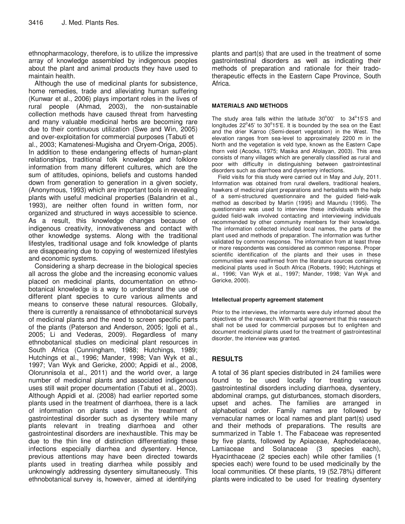ethnopharmacology, therefore, is to utilize the impressive array of knowledge assembled by indigenous peoples about the plant and animal products they have used to maintain health.

Although the use of medicinal plants for subsistence, home remedies, trade and alleviating human suffering (Kunwar et al., 2006) plays important roles in the lives of rural people (Ahmad, 2003), the non-sustainable collection methods have caused threat from harvesting and many valuable medicinal herbs are becoming rare due to their continuous utilization (Swe and Win, 2005) and over-exploitation for commercial purposes (Tabuti et al., 2003; Kamatenesi-Mugisha and Oryem-Origa, 2005). In addition to these endangering effects of human-plant relationships, traditional folk knowledge and folklore information from many different cultures, which are the sum of attitudes, opinions, beliefs and customs handed down from generation to generation in a given society, (Anonymous, 1993) which are important tools in revealing plants with useful medicinal properties (Balandrin et al., 1993), are neither often found in written form, nor organized and structured in ways accessible to science. As a result, this knowledge changes because of indigenous creativity, innovativeness and contact with other knowledge systems. Along with the traditional lifestyles, traditional usage and folk knowledge of plants are disappearing due to copying of westernized lifestyles and economic systems.

Considering a sharp decrease in the biological species all across the globe and the increasing economic values placed on medicinal plants, documentation on ethnobotanical knowledge is a way to understand the use of different plant species to cure various ailments and means to conserve these natural resources. Globally, there is currently a renaissance of ethnobotanical surveys of medicinal plants and the need to screen specific parts of the plants (Paterson and Anderson, 2005; Igoli et al., 2005; Li and Vederas, 2009). Regardless of many ethnobotanical studies on medicinal plant resources in South Africa (Cunningham, 1988; Hutchings, 1989; Hutchings et al., 1996; Mander, 1998; Van Wyk et al., 1997; Van Wyk and Gericke, 2000; Appidi et al., 2008, Olorunnisola et al., 2011) and the world over, a large number of medicinal plants and associated indigenous uses still wait proper documentation (Tabuti et al., 2003). Although Appidi et al. (2008) had earlier reported some plants used in the treatment of diarrhoea, there is a lack of information on plants used in the treatment of gastrointestinal disorder such as dysentery while many plants relevant in treating diarrhoea and other gastrointestinal disorders are inexhaustible. This may be due to the thin line of distinction differentiating these infections especially diarrhea and dysentery. Hence, previous attentions may have been directed towards plants used in treating diarrhea while possibly and unknowingly addressing dysentery simultaneously. This ethnobotanical survey is, however, aimed at identifying

plants and part(s) that are used in the treatment of some gastrointestinal disorders as well as indicating their methods of preparation and rationale for their tradotherapeutic effects in the Eastern Cape Province, South Africa.

#### **MATERIALS AND METHODS**

The study area falls within the latitude  $30^{\circ}00'$  to  $34^{\circ}15'S$  and longitudes  $22^{\circ}45'$  to  $30^{\circ}15'E$ . It is bounded by the sea on the East and the drier Karroo (Semi-desert vegetation) in the West. The elevation ranges from sea-level to approximately 2200 m in the North and the vegetation is veld type, known as the Eastern Cape thorn veld (Acocks, 1975; Masika and Afolayan, 2003). This area consists of many villages which are generally classified as rural and poor with difficulty in distinguishing between gastrointestinal disorders such as diarrhoea and dysentery infections.

Field visits for this study were carried out in May and July, 2011. Information was obtained from rural dwellers, traditional healers, hawkers of medicinal plant preparations and herbalists with the help of a semi-structured questionnaire and the guided field-walk method as described by Martin (1995) and Maundu (1995). The questionnaire was used to interview these individuals while the guided field-walk involved contacting and interviewing individuals recommended by other community members for their knowledge. The information collected included local names, the parts of the plant used and methods of preparation. The information was further validated by common response. The information from at least three or more respondents was considered as common response. Proper scientific identification of the plants and their uses in these communities were reaffirmed from the literature sources containing medicinal plants used in South Africa (Roberts, 1990; Hutchings et al., 1996; Van Wyk et al., 1997; Mander, 1998; Van Wyk and Gericke, 2000).

#### **Intellectual property agreement statement**

Prior to the interviews, the informants were duly informed about the objectives of the research. With verbal agreement that this research shall not be used for commercial purposes but to enlighten and document medicinal plants used for the treatment of gastrointestinal disorder, the interview was granted.

## **RESULTS**

A total of 36 plant species distributed in 24 families were found to be used locally for treating various gastrointestinal disorders including diarrhoea, dysentery, abdominal cramps, gut disturbances, stomach disorders, upset and aches. The families are arranged in alphabetical order. Family names are followed by vernacular names or local names and plant part(s) used and their methods of preparations. The results are summarized in Table 1. The Fabaceae was represented by five plants, followed by Apiaceae, Asphodelaceae, Lamiaceae and Solanaceae (3 species each), Hyacinthaceae (2 species each) while other families (1 species each) were found to be used medicinally by the local communities. Of these plants, 19 (52.78%) different plants were indicated to be used for treating dysentery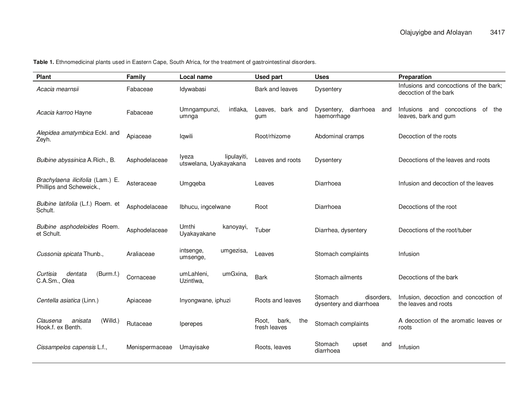**Table 1.** Ethnomedicinal plants used in Eastern Cape, South Africa, for the treatment of gastrointestinal disorders.

| <b>Plant</b>                                                 | Family         | <b>Local name</b>                              | <b>Used part</b>                      | <b>Uses</b>                                      | Preparation                                                     |
|--------------------------------------------------------------|----------------|------------------------------------------------|---------------------------------------|--------------------------------------------------|-----------------------------------------------------------------|
| Acacia mearnsii                                              | Fabaceae       | Idywabasi                                      | Bark and leaves                       | <b>Dysentery</b>                                 | Infusions and concoctions of the bark;<br>decoction of the bark |
| Acacia karroo Hayne                                          | Fabaceae       | Umngampunzi,<br>intlaka,<br>umnga              | bark and<br>Leaves,<br>gum            | diarrhoea<br>Dysentery,<br>and<br>haemorrhage    | Infusions and concoctions<br>of the<br>leaves, bark and gum     |
| Alepidea amatymbica Eckl. and<br>Zeyh.                       | Apiaceae       | Iqwili                                         | Root/rhizome                          | Abdominal cramps                                 | Decoction of the roots                                          |
| Bulbine abyssinica A.Rich., B.                               | Asphodelaceae  | lipulayiti,<br>Iveza<br>utswelana, Uyakayakana | Leaves and roots                      | <b>Dysentery</b>                                 | Decoctions of the leaves and roots                              |
| Brachylaena ilicifolia (Lam.) E.<br>Phillips and Scheweick., | Asteraceae     | Umgqeba                                        | Leaves                                | Diarrhoea                                        | Infusion and decoction of the leaves                            |
| Bulbine latifolia (L.f.) Roem. et<br>Schult.                 | Asphodelaceae  | Ibhucu, ingcelwane                             | Root                                  | Diarrhoea                                        | Decoctions of the root                                          |
| Bulbine asphodeloides Roem.<br>et Schult.                    | Asphodelaceae  | Umthi<br>kanoyayi,<br>Uyakayakane              | Tuber                                 | Diarrhea, dysentery                              | Decoctions of the root/tuber                                    |
| Cussonia spicata Thunb.,                                     | Araliaceae     | umgezisa,<br>intsenge,<br>umsenge,             | Leaves                                | Stomach complaints                               | Infusion                                                        |
| (Burm.f.)<br>Curtisia<br>dentata<br>C.A.Sm., Olea            | Cornaceae      | umLahleni,<br>umGxina,<br>Uzintlwa,            | <b>Bark</b>                           | Stomach ailments                                 | Decoctions of the bark                                          |
| Centella asiatica (Linn.)                                    | Apiaceae       | Inyongwane, iphuzi                             | Roots and leaves                      | Stomach<br>disorders.<br>dysentery and diarrhoea | Infusion, decoction and concoction of<br>the leaves and roots   |
| (Willd.)<br>anisata<br>Clausena<br>Hook.f. ex Benth.         | Rutaceae       | <i>lperepes</i>                                | bark,<br>Root,<br>the<br>fresh leaves | Stomach complaints                               | A decoction of the aromatic leaves or<br>roots                  |
| Cissampelos capensis L.f.,                                   | Menispermaceae | Umayisake                                      | Roots, leaves                         | Stomach<br>upset<br>and<br>diarrhoea             | Infusion                                                        |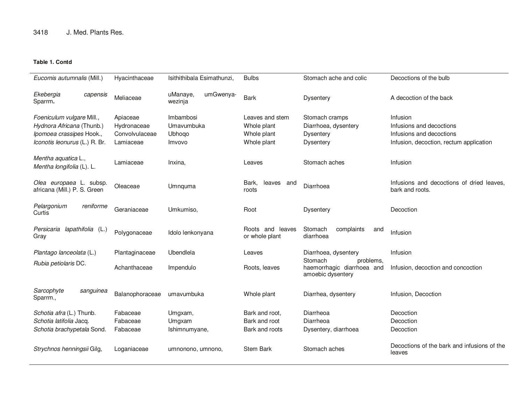## **Table 1. Contd**

| Eucomis autumnalis (Mill.)                                                                                          | Hyacinthaceae                                          | Isithithibala Esimathunzi,                  | <b>Bulbs</b>                                                 | Stomach ache and colic                                                         | Decoctions of the bulb                                                                                      |
|---------------------------------------------------------------------------------------------------------------------|--------------------------------------------------------|---------------------------------------------|--------------------------------------------------------------|--------------------------------------------------------------------------------|-------------------------------------------------------------------------------------------------------------|
| Ekebergia<br>capensis<br>Sparrm.                                                                                    | Meliaceae                                              | umGwenya-<br>uManaye,<br>wezinja            | Bark                                                         | <b>Dysentery</b>                                                               | A decoction of the back                                                                                     |
| Foeniculum vulgare Mill.,<br>Hydnora Africana (Thunb.)<br>Ipomoea crassipes Hook.,<br>Iconotis leonurus (L.) R. Br. | Apiaceae<br>Hydronaceae<br>Convolvulaceae<br>Lamiaceae | Imbambosi<br>Umavumbuka<br>Ubhoqo<br>Imvovo | Leaves and stem<br>Whole plant<br>Whole plant<br>Whole plant | Stomach cramps<br>Diarrhoea, dysentery<br><b>Dysentery</b><br><b>Dysentery</b> | Infusion<br>Infusions and decoctions<br>Infusions and decoctions<br>Infusion, decoction, rectum application |
| Mentha aquatica L.,<br>Mentha longifolia (L). L.                                                                    | Lamiaceae                                              | Inxina,                                     | Leaves                                                       | Stomach aches                                                                  | Infusion                                                                                                    |
| Olea europaea L. subsp.<br>africana (Mill.) P. S. Green                                                             | Oleaceae                                               | Umnquma                                     | Bark,<br>leaves and<br>roots                                 | Diarrhoea                                                                      | Infusions and decoctions of dried leaves,<br>bark and roots.                                                |
| Pelargonium<br>reniforme<br>Curtis                                                                                  | Geraniaceae                                            | Umkumiso,                                   | Root                                                         | <b>Dysentery</b>                                                               | Decoction                                                                                                   |
| lapathifolia (L.)<br>Persicaria<br>Gray                                                                             | Polygonaceae                                           | Idolo lenkonyana                            | Roots and leaves<br>or whole plant                           | Stomach<br>complaints<br>and<br>diarrhoea                                      | Infusion                                                                                                    |
| Plantago lanceolata (L.)                                                                                            | Plantaginaceae                                         | Ubendlela                                   | Leaves                                                       | Diarrhoea, dysentery                                                           | Infusion                                                                                                    |
| Rubia petiolaris DC.                                                                                                | Achanthaceae                                           | Impendulo                                   | Roots, leaves                                                | Stomach<br>problems,<br>haemorrhagic diarrhoea and<br>amoebic dysentery        | Infusion, decoction and concoction                                                                          |
| Sarcophyte<br>sanguinea<br>Sparrm.,                                                                                 | Balanophoraceae                                        | umavumbuka                                  | Whole plant                                                  | Diarrhea, dysentery                                                            | Infusion, Decoction                                                                                         |
| Schotia afra (L.) Thunb.<br>Schotia latifolia Jacq.<br>Schotia brachypetala Sond.                                   | Fabaceae<br>Fabaceae<br>Fabaceae                       | Umgxam,<br>Umgxam<br>Ishimnumyane,          | Bark and root,<br>Bark and root<br>Bark and roots            | Diarrheoa<br>Diarrheoa<br>Dysentery, diarrhoea                                 | Decoction<br>Decoction<br>Decoction                                                                         |
| Strychnos henningsii Gilg,                                                                                          | Loganiaceae                                            | umnonono, umnono,                           | Stem Bark                                                    | Stomach aches                                                                  | Decoctions of the bark and infusions of the<br>leaves                                                       |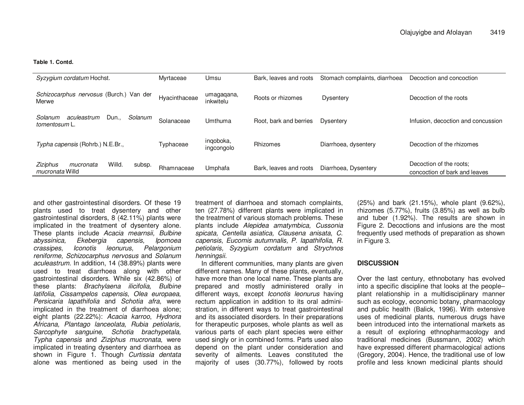#### **Table 1. Contd.**

| Syzygium cordatum Hochst.                                    | Myrtaceae     | Umsu                    | Bark, leaves and roots | Stomach complaints, diarrhoea | Decoction and concoction                                 |
|--------------------------------------------------------------|---------------|-------------------------|------------------------|-------------------------------|----------------------------------------------------------|
| Schizocarphus nervosus (Burch.) Van der<br>Merwe             | Hyacinthaceae | umagaqana,<br>inkwitelu | Roots or rhizomes      | Dysentery                     | Decoction of the roots                                   |
| Solanum<br>Solanum<br>Dun<br>aculeastrum<br>tomentosum L.    | Solanaceae    | Umthuma                 | Root, bark and berries | Dysentery                     | Infusion, decoction and concussion                       |
| Typha capensis (Rohrb.) N.E.Br.,                             | Typhaceae     | ingoboka,<br>ingcongolo | Rhizomes               | Diarrhoea, dysentery          | Decoction of the rhizomes                                |
| Ziziphus<br>Willd.<br>mucronata<br>subsp.<br>mucronata Willd | Rhamnaceae    | Umphafa                 | Bark, leaves and roots | Diarrhoea, Dysentery          | Decoction of the roots:<br>concoction of bark and leaves |

and other gastrointestinal disorders. Of these 19 plants used to treat dysentery and other gastrointestinal disorders, 8 (42.11%) plants were implicated in the treatment of dysentery alone. These plants include Acacia mearnsii, Bulbine lpomoea abyssinica,Ekebergia capensis, crassipes, Iconotis leonurus, Pelargonium reniforme, Schizocarphus nervosus and Solanum aculeastrum. In addition, 14 (38.89%) plants were used to treat diarrhoea along with other gastrointestinal disorders. While six (42.86%) of these plants: Brachylaena ilicifolia, Bulbine latifolia, Cissampelos capensis, Olea europaea, Persicaria lapathifolia and Schotia afra, were implicated in the treatment of diarrhoea alone; eight plants (22.22%): Acacia karroo, Hydnora Africana, Plantago lanceolata, Rubia petiolaris, Sarcophyte sanguine, Schotia brachypetala, Typha capensis and Ziziphus mucronata, were implicated in treating dysentery and diarrhoea as shown in Figure 1. Though *Curtissia dentata* alone was mentioned as being used in the treatment of diarrhoea and stomach complaints, ten (27.78%) different plants were implicated in the treatment of various stomach problems. These plants include Alepidea amatymbica, Cussonia spicata, Centella asiatica, Clausena anisata, C. capensis, Eucomis autumnalis, P. lapathifolia, R. petiolaris, Syzygium cordatum and Strychnos henningsii.

 In different communities, many plants are given different names. Many of these plants, eventually, have more than one local name. These plants are prepared and mostly administered orally in different ways, except Iconotis leonurus having rectum application in addition to its oral administration, in different ways to treat gastrointestinal and its associated disorders. In their preparations for therapeutic purposes, whole plants as well as various parts of each plant species were either used singly or in combined forms. Parts used also depend on the plant under consideration and severity of ailments. Leaves constituted the majority of uses (30.77%), followed by roots

(25%) and bark (21.15%), whole plant (9.62%), rhizomes (5.77%), fruits (3.85%) as well as bulb and tuber (1.92%). The results are shown in Figure 2. Decoctions and infusions are the most frequently used methods of preparation as shown in Figure 3.

### **DISCUSSION**

Over the last century, ethnobotany has evolved into a specific discipline that looks at the people– plant relationship in a multidisciplinary manner such as ecology, economic botany, pharmacology and public health (Balick, 1996). With extensive uses of medicinal plants, numerous drugs have been introduced into the international markets as a result of exploring ethnopharmacology and traditional medicines (Bussmann, 2002) which have expressed different pharmacological actions (Gregory, 2004). Hence, the traditional use of low profile and less known medicinal plants should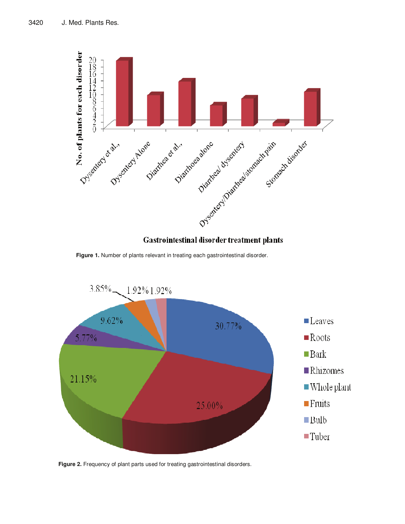

## Gastrointestinal disorder treatment plants

**Figure 1.** Number of plants relevant in treating each gastrointestinal disorder.



**Figure 2.** Frequency of plant parts used for treating gastrointestinal disorders.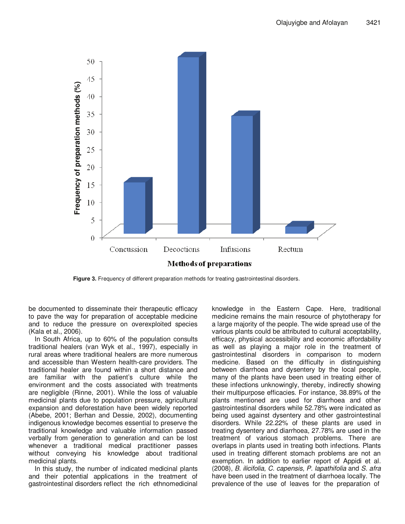

**Figure 3.** Frequency of different preparation methods for treating gastrointestinal disorders.

be documented to disseminate their therapeutic efficacy to pave the way for preparation of acceptable medicine and to reduce the pressure on overexploited species (Kala et al., 2006).

In South Africa, up to 60% of the population consults traditional healers (van Wyk et al., 1997), especially in rural areas where traditional healers are more numerous and accessible than Western health-care providers. The traditional healer are found within a short distance and are familiar with the patient's culture while the environment and the costs associated with treatments are negligible (Rinne, 2001). While the loss of valuable medicinal plants due to population pressure, agricultural expansion and deforestation have been widely reported (Abebe, 2001; Berhan and Dessie, 2002), documenting indigenous knowledge becomes essential to preserve the traditional knowledge and valuable information passed verbally from generation to generation and can be lost whenever a traditional medical practitioner passes without conveying his knowledge about traditional medicinal plants.

In this study, the number of indicated medicinal plants and their potential applications in the treatment of gastrointestinal disorders reflect the rich ethnomedicinal

knowledge in the Eastern Cape. Here, traditional medicine remains the main resource of phytotherapy for a large majority of the people. The wide spread use of the various plants could be attributed to cultural acceptability, efficacy, physical accessibility and economic affordability as well as playing a major role in the treatment of gastrointestinal disorders in comparison to modern medicine. Based on the difficulty in distinguishing between diarrhoea and dysentery by the local people, many of the plants have been used in treating either of these infections unknowingly, thereby, indirectly showing their multipurpose efficacies. For instance, 38.89% of the plants mentioned are used for diarrhoea and other gastrointestinal disorders while 52.78% were indicated as being used against dysentery and other gastrointestinal disorders. While 22.22% of these plants are used in treating dysentery and diarrhoea, 27.78% are used in the treatment of various stomach problems. There are overlaps in plants used in treating both infections. Plants used in treating different stomach problems are not an exemption. In addition to earlier report of Appidi et al. (2008), B. ilicifolia, C. capensis, P. lapathifolia and S. afra have been used in the treatment of diarrhoea locally. The prevalence of the use of leaves for the preparation of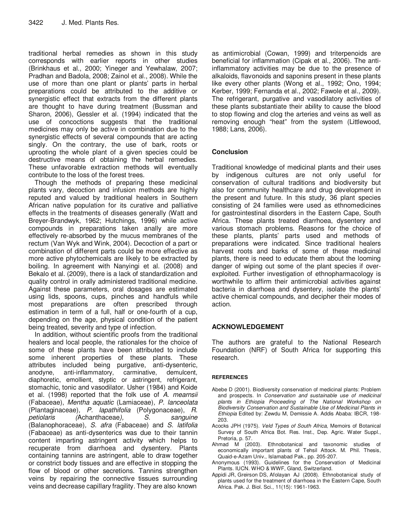traditional herbal remedies as shown in this study corresponds with earlier reports in other studies (Brinkhaus et al., 2000; Yineger and Yewhalaw, 2007; Pradhan and Badola, 2008; Zainol et al., 2008). While the use of more than one plant or plants' parts in herbal preparations could be attributed to the additive or synergistic effect that extracts from the different plants are thought to have during treatment (Bussman and Sharon, 2006), Gessler et al. (1994) indicated that the use of concoctions suggests that the traditional medicines may only be active in combination due to the synergistic effects of several compounds that are acting singly. On the contrary, the use of bark, roots or uprooting the whole plant of a given species could be destructive means of obtaining the herbal remedies. These unfavorable extraction methods will eventually contribute to the loss of the forest trees.

Though the methods of preparing these medicinal plants vary, decoction and infusion methods are highly reputed and valued by traditional healers in Southern African native population for its curative and palliative effects in the treatments of diseases generally (Watt and Breyer-Brandwyk, 1962; Hutchings, 1996) while active compounds in preparations taken anally are more effectively re-absorbed by the mucus membranes of the rectum (Van Wyk and Wink, 2004). Decoction of a part or combination of different parts could be more effective as more active phytochemicals are likely to be extracted by boiling. In agreement with Nanyingi et al. (2008) and Bekalo et al. (2009), there is a lack of standardization and quality control in orally administered traditional medicine. Against these parameters, oral dosages are estimated using lids, spoons, cups, pinches and handfuls while most preparations are often prescribed through estimation in term of a full, half or one-fourth of a cup, depending on the age, physical condition of the patient being treated, severity and type of infection.

In addition, without scientific proofs from the traditional healers and local people, the rationales for the choice of some of these plants have been attributed to include some inherent properties of these plants. These attributes included being purgative, anti-dysenteric, anodyne, anti-inflammatory, carminative, demulcent, diaphoretic, emollient, styptic or astringent, refrigerant, stomachic, tonic and vasodilator. Usher (1984) and Koide et al. (1998) reported that the folk use of A. mearnsii (Fabaceae), Mentha aquatic (Lamiaceae), P. lanceolata (Plantaginaceae), P. lapathifolia (Polygonaceae), R. petiolaris (Achanthaceae), S. sanguine (Balanophoraceae), S. afra (Fabaceae) and S. latifolia (Fabaceae) as anti-dysenterics was due to their tannin content imparting astringent activity which helps to recuperate from diarrhoea and dysentery. Plants containing tannins are astringent, able to draw together or constrict body tissues and are effective in stopping the flow of blood or other secretions. Tannins strengthen veins by repairing the connective tissues surrounding veins and decrease capillary fragility. They are also known

as antimicrobial (Cowan, 1999) and triterpenoids are beneficial for inflammation (Cipak et al., 2006). The antiinflammatory activities may be due to the presence of alkaloids, flavonoids and saponins present in these plants like every other plants (Wong et al., 1992; Ono, 1994; Kerber, 1999; Fernanda et al., 2002; Fawole et al., 2009). The refrigerant, purgative and vasodilatory activities of these plants substantiate their ability to cause the blood to stop flowing and clog the arteries and veins as well as removing enough "heat" from the system (Littlewood, 1988; Lans, 2006).

## **Conclusion**

Traditional knowledge of medicinal plants and their uses by indigenous cultures are not only useful for conservation of cultural traditions and biodiversity but also for community healthcare and drug development in the present and future. In this study, 36 plant species consisting of 24 families were used as ethnomedicines for gastrointestinal disorders in the Eastern Cape, South Africa. These plants treated diarrhoea, dysentery and various stomach problems. Reasons for the choice of these plants, plants' parts used and methods of preparations were indicated. Since traditional healers harvest roots and barks of some of these medicinal plants, there is need to educate them about the looming danger of wiping out some of the plant species if overexploited. Further investigation of ethnopharmacology is worthwhile to affirm their antimicrobial activities against bacteria in diarrhoea and dysentery, isolate the plants' active chemical compounds, and decipher their modes of action.

## **ACKNOWLEDGEMENT**

The authors are grateful to the National Research Foundation (NRF) of South Africa for supporting this research.

## **REFERENCES**

- Abebe D (2001). Biodiversity conservation of medicinal plants: Problem and prospects. In Conservation and sustainable use of medicinal plants in Ethiopia Proceeding of The National Workshop on Biodiversity Conservation and Sustainable Use of Medicinal Plants in Ethiopia Edited by: Zewdu M, Demissie A. Addis Ababa: IBCR, 198- 203.
- Acocks JPH (1975). Veld Types of South Africa, Memoirs of Botanical Survey of South Africa Bot. Res. Inst., Dep. Agric. Water Suppl., Pretoria, p. 57.
- Ahmad M (2003). Ethnobotanical and taxonomic studies of economically important plants of Tehsil Attock. M. Phil. Thesis, Quaid-e-Azam Univ., Islamabad Pak., pp. 205-207.
- Anonymous (1993). Guidelines for the Conservation of Medicinal Plants. IUCN. WHO & WWF, Gland, Switzerland.
- Appidi JR, Greirson DS, Afolayan AJ (2008). Ethnobotanical study of plants used for the treatment of diarrhoea in the Eastern Cape, South Africa. Pak. J. Biol. Sci., 11(15): 1961-1963.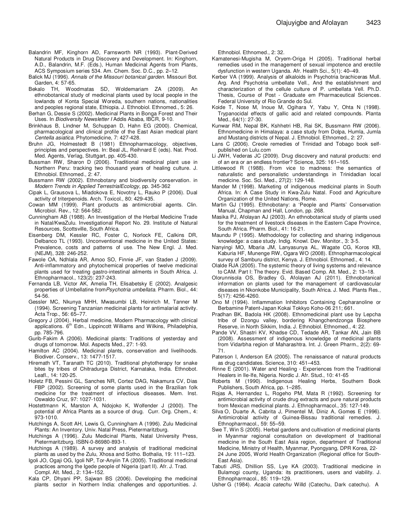- Balandrin MF, Kinghorn AD, Farnsworth NR (1993). Plant-Derived Natural Products in Drug Discovery and Development. In: Kinghorn, A.D., Balandrin, M.F. (Eds.), Human Medicinal Agents from Plants, ACS Symposium series 534. Am. Chem. Soc. D.C., pp. 2–12.
- Balick MJ (1996). Annals of the Missouri botanical garden. Missouri Bot. Garden, 4: 57-65.
- Bekalo TH, Woodmatas SD, Woldemariam ZA (2009). An ethnobotanical study of medicinal plants used by local people in the lowlands of Konta Special Woreda, southern nations, nationalities and peoples regional state, Ethiopia. J. Ethnobiol. Ethnomed., 5: 26.
- Berhan G, Dessie S (2002). Medicinal Plants in Bonga Forest and Their Uses. In Biodiversity Newsletter I Addis Ababa, IBCR, 9-10.
- Brinkhaus B, Lindner M, Schuppan D, Hahn EG (2000). Chemical, pharmacological and clinical profile of the East Asian medical plant Centella asiatica. Phytomedicine, 7: 427-428.
- Bruhn JG, Holmestedt B (1981) Ethnopharmacology, objectives, principles and perspectives. In: Beal JL, Reihnard E (eds). Nat. Prod. Med. Agents, Verlag, Stuttgart, pp. 405-430.
- Bussman RW, Sharon D (2006). Traditional medicinal plant use in Northern Peru: tracking two thousand years of healing culture. J. Ethnobiol. Ethnomed., 2: 47.
- Bussmann RW (2002). Ethnobotany and biodiversity conservation. in Modern Trends in Applied TerrestrialEcology, pp. 345-362
- Cipak L, Grausova L, Miadokova E, Novotny L, Rauko P (2006). Dual activity of triterpenoids. Arch. Toxicol., 80: 429-435.
- Cowan MM (1999). Plant products as antimicrobial agents. Clin. Microbiol. Rev., 12: 564-582.
- Cunningham AB (1988). An Investigation of the Herbal Medicine Trade in Natal/KwaZulu. Investigational Report No. 29. Institute of Natural Resources, Scottsville, South Africa.
- Eisenberg DM, Kessler RC, Foster C, Norlock FE, Calkins DR, Delbanco TL (1993). Unconventional medicine in the United States: Prevalence, costs and patterns of use. The New Engl. J. Med. (NEJM), 328: 246-252.
- Fawole OA, Ndhlala AR, Amoo SO, Finnie JF, van Staden J (2009). Anti-inflammatory and phytochemical properties of twelve medicinal plants used for treating gastro-intestinal ailments in South Africa. J. Ethnopharmacol., 123(2): 237-243.
- Fernanda LB, Victor AK, Amelia TH, Elisabetsky E (2002). Analgesic properties of Umbellatine fromPsychotria umbellata. Pharm. Biol., 44: 54-56.
- Gessler MC, Nkunya MHH, Mwasumbi LB, Heinrich M, Tanner M (1994). Screening Tanzanian medicinal plants for antimalarial activity. Acta Trop., 56: 65–77.
- Gregory J (2004). Herbal medicine, Modern Pharmacology with clinical applications. 6<sup>th</sup> Edn., Lippincott Williams and Wilkins, Philadelphia, pp. 785-796.
- Gurib-Fakim A (2006). Medicinal plants: Traditions of yesterday and drugs of tomorrow. Mol. Aspects Med., 27: 1-93.
- Hamilton AC (2004). Medicinal plants, conservation and livelihoods. Biodiver. Conserv., 13: 1477-1517.
- Hiremath VT, Taranath TC (2010). Traditional phytotherapy for snake bites by tribes of Chitradurga District, Karnataka, India. Ethnobot. Leafl., 14: 120-25.
- Holetz FB, Pessini GL, Sanches NR, Cortez DAG, Nakamura CV, Dias FBP (2002). Screening of some plants used in the Brazilian folk medicine for the treatment of infectious diseases. Mem. Inst. Oswaldo Cruz, 97: 1027-1031.
- Hostettmann K, Marston A, Ndojoko K, Wolfender J (2000). The potential of Africa Plants as a source of drug. Curr. Org. Chem., 4: 973-1010.
- Hutchings A, Scott AH, Lewis G, Cunningham A (1996). Zulu Medicinal Plants: An Inventory. Univ. Natal Press, Pietermaritzburg.
- Hutchings A (1996). Zulu Medicinal Plants, Natal University Press, Pietermaritzburg. ISBN-0-86980-893-1.
- Hutchings A (1989). A survey and analysis of traditional medicinal plants as used by the Zulu, Xhosa and Sotho. Bothalia, 19: 111–123.
- Igoli JO, Ogaji OG, Igoli NP, Tor-Anyiin TA (2005). Traditional medicinal practices among the Igede people of Nigeria (part II). Afr. J. Trad. Compl. Alt. Med., 2: 134–152.
- Kala CP, Dhyani PP, Sajwan BS (2006). Developing the medicinal plants sector in Northern India: challenges and opportunities. J.

Ethnobiol. Ethnomed., 2: 32.

- Kamatenesi-Mugisha M, Oryem-Origa H (2005). Traditional herbal remedies used in the management of sexual impotence and erectile dysfunction in western Uganda. Afr. Health Sci., 5(1): 40–49.
- Kerber VA (1999). Analysis of alkaloids in Psychotria brachiceras Mull. Arg. And Psychotria umbellate Vell., And the establishment and characterization of the cellule culture of P. umbellata Vell. Ph.D. Thesis, Course of Post - Graduate em Pharmaceutical Sciences. Federal University of Rio Grande do Sul.
- Koide T, Nose M, Inoue M, Ogihara Y, Yabu Y, Ohta N (1998). Trypanocidal effects of gallic acid and related compounds. Planta Med., 64(1): 27-30.
- Kunwar RM, Nepal BK, Kshhetri HB, Rai SK, Bussmann RW (2006). Ethnomedicine in Himalaya: a case study from Dolpa, Humla, Jumla and Mustang districts of Nepal. J. Ethnobiol. Ethnomed., 2: 27.
- Lans C (2006). Creole remedies of Trinidad and Tobago book selfpublished on Lulu.com
- Li JWH, Vederas JC (2009). Drug discovery and natural products: end of an era or an endless frontier? Science, 325: 161–165.
- Littlewood R (1988). From vice to madness: the semantics of naturalistic and personalistic understandings in Trinidadian local medicine. Soc. Sci. Med., 27(2): 129-148.
- Mander M (1998). Marketing of indigenous medicinal plants in South Africa. In: A Case Study in Kwa-Zulu Natal. Food and Agriculture Organization of the United Nations, Rome.
- Martin GJ (1995). Ethnobotany: a 'People and Plants' Conservation Manual, Chapman and Hall, London, pp. 268.
- Masika PJ, Afolayan AJ (2003). An ethnobotanical study of plants used for the treatment of livestock diseases in the Eastern Cape Province, South Africa. Pharm. Biol., 41: 16-21.
- Maundu P (1995). Methodology for collecting and sharing indigenous knowledge: a case study. Indig. Knowl. Dev. Monitor., 3: 3-5.
- Nanyingi MO, Mbaria JM, Lanyasunya AL, Wagate CG, Koros KB, Kaburia HF, Munenge RW, Ogara WO (2008). Ethnopharmacological survey of Samburu district, Kenya. J. Ethnobiol. Ethnomed., 4: 14.
- Olalde RJA (2005). The systemic theory of living systems and relevance to CAM. Part I: The theory. Evid. Based Comp. Alt. Med., 2: 13–18.
- Olorunnisola OS, Bradley G, Afolayan AJ (2011). Ethnobotanical information on plants used for the management of cardiovascular diseases in Nkonkobe Municipality, South Africa. J. Med. Plants Res., 5(17): 4256-4260.
- Ono M (1994). Inflammation Inhibitors Containing Cepharanoline or Berbamine Patent-Japan Kokai Tokkyo Koho-06 211; 661.
- Pradhan BK, Badola HK (2008). Ethnomedicinal plant use by Lepcha tribe of Dzongu valley, bordering Khangchendzonga Biosphere Reserve, in North Sikkim, India. J. Ethnobiol. Ethnomed., 4: 22.
- Pande VV, Shastri KV, Khadse CD, Tedade AR, Tankar AN, Jain BB (2008). Assessment of indigenous knowledge of medicinal plants from Vidarbha region of Maharashtra. Int. J. Green Pharm., 2(2): 69- 71.
- Paterson I, Anderson EA (2005). The renaissance of natural products as drug candidates. Science, 310: 451–453.
- Rinne E (2001). Water and Healing Experiences from the Traditional Healers in Ile-Ife, Nigeria. Nordic J. Afr. Stud., 10: 41-65
- Roberts M (1990). Indigenous Healing Herbs, Southern Book Publishers, South Africa, pp. 1–285.
- Rojas A, Hernandez L, Rogeho PM, Mata R (1992). Screening for antimicrobial activity of crude drug extracts and pure natural products from Mexican medicinal plants. J. Ethnopharmacol., 35: 127-149.
- Silva O, Duarte A, Cabrita J, Pimentel M, Diniz A, Gomes E (1996). Antimicrobial activity of Guinea-Bissau traditional remedies. J. Ethnopharmacol., 59: 55–59.
- Swe T, Win S (2005). Herbal gardens and cultivation of medicinal plants in Myanmar regional consultation on development of traditional medicine in the South East Asia region, department of Traditional Medicine, Ministry of Health, Myanmar, Pyongyang, DPR Korea, 22- 24 June 2005, World Health Organization (Regional office for South-East Asia).
- Tabuti JRS, Dhillion SS, Lye KA (2003). Traditional medicine in Bulamogi county, Uganda: its practitioners, users and viability. J. Ethnopharmacol., 85: 119–129.
- Usher G (1984). Acacia catechu Willd (Catechu, Dark catechu). A